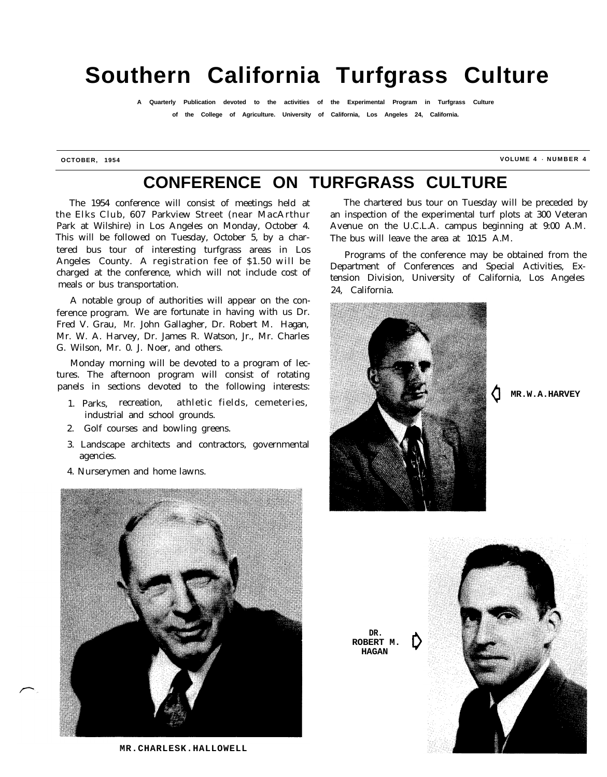# **Southern California Turfgrass Culture**

**A Quarterly Publication devoted to the activities of the Experimental Program in Turfgrass Culture of the College of Agriculture. University of California, Los Angeles 24, California.**

**OCTOBER, 1954 VOLUME 4 - NUMBER 4**

## **CONFERENCE ON TURFGRASS CULTURE**

The 1954 conference will consist of meetings held at the Elks Club, 607 Parkview Street (near MacArthur Park at Wilshire) in Los Angeles on Monday, October 4. This will be followed on Tuesday, October 5, by a chartered bus tour of interesting turfgrass areas in Los Angeles County. A registration fee of \$1.50 will be charged at the conference, which will not include cost of meals or bus transportation.

A notable group of authorities will appear on the conference program. We are fortunate in having with us Dr. Fred V. Grau, Mr. John Gallagher, Dr. Robert M. Hagan, Mr. W. A. Harvey, Dr. James R. Watson, Jr., Mr. Charles G. Wilson, Mr. 0. J. Noer, and others.

Monday morning will be devoted to a program of lectures. The afternoon program will consist of rotating panels in sections devoted to the following interests:

- 1. Parks, recreation, athletic fields, cemeteries, industrial and school grounds.
- 2. Golf courses and bowling greens.
- 3. Landscape architects and contractors, governmental agencies.
- 4. Nurserymen and home lawns.



**MR.CHARLESK.HALLOWELL**

The chartered bus tour on Tuesday will be preceded by an inspection of the experimental turf plots at 300 Veteran Avenue on the U.C.L.A. campus beginning at 9:00 A.M. The bus will leave the area at 10:15 A.M.

Programs of the conference may be obtained from the Department of Conferences and Special Activities, Extension Division, University of California, Los Angeles 24, California.



**0 MR.W.A.HARVEY**

**DR. ROBERT M. HAGAN 0**

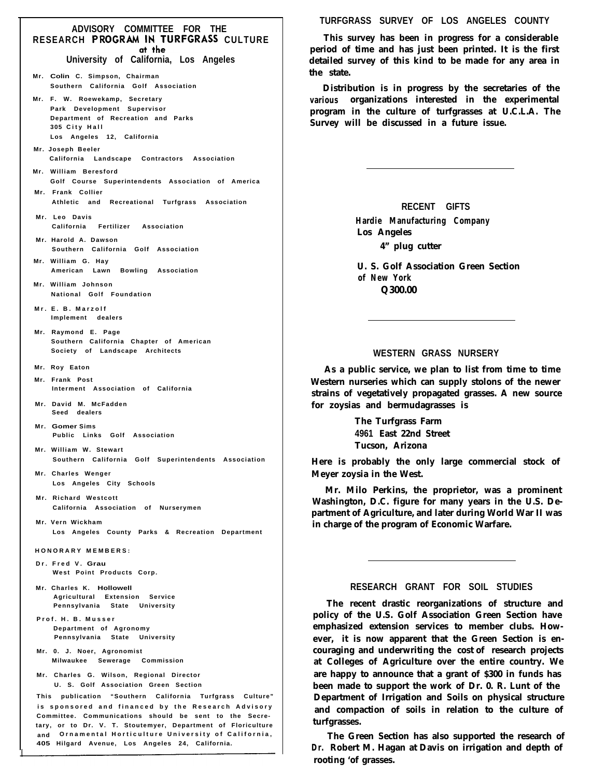## **ADVISORY COMMITTEE FOR THE RESEARCH PROGRAM IN TURFGRASS CULTURE**<br>of the

**University of California, Los Angeles**

- **Mr. Colin C. Simpson, Chairman Southern California Golf Association**
- **Mr. F. W. Roewekamp, Secretary Park Development Supervisor Department of Recreation and Parks 305 City Hall Los Angeles 12, California**
- **Mr. Joseph Beeler California Landscape Contractors Association**
- **Mr. William Beresford Golf Course Superintendents Association of America Mr. Frank Collier**
- **Athletic and Recreational Turfgrass Association**
- **Mr. Leo Davis California Fertilizer Association**
- **Mr. Harold A. Dawson Southern California Golf Association**
- **Mr. William G. Hay American Lawn Bowling Association**
- **Mr. William Johnson National Golf Foundation**
- **Mr. E. B . Marzolf Implement dealers**
- **Mr. Raymond E. Page Southern California Chapter of American Society of Landscape Architects**
- **Mr. Roy Eaton**
- **Mr. Frank Post Interment Association of California**
- **Mr. David M. McFadden Seed dealers**
- **Mr. Gomer Sims Public Links Golf Association**
- **Mr. William W. Stewart Southern California Golf Superintendents Association**
- **Mr. Charles Wenger Los Angeles City Schools**
- **Mr. Richard Westcott California Association of Nurserymen**
- **Mr. Vern Wickham Los Angeles County Parks & Recreation Department**
- **HONORARY MEMBERS:**
- **Dr. Fred V. Grau West Point Products Corp.**
- **Mr. Charles K. Hollowell Agricultural Extension Service Pennsylvania State University**
- **Prof. H. B. Musser Department of Agronomy Pennsylvania State University**
- **Mr. 0. J. Noer, Agronomist Milwaukee Sewerage Commission**
- **Mr. Charles G. Wilson, Regional Director U. S. Golf Association Green Section**

**This publication "Southern California Turfgrass Culture" is sponsored and financed by the Research Advisory Committee. Communications should be sent to the Secretary, or to Dr. V. T. Stoutemyer, Department of Floriculture and Ornamental Horticulture University of California, 405 Hilgard Avenue, Los Angeles 24, California.**

**TURFGRASS SURVEY OF LOS ANGELES COUNTY**

**This survey has been in progress for a considerable period of time and has just been printed. It is the first detailed survey of this kind to be made for any area in the state.**

**Distribution is in progress by the secretaries of the various organizations interested in the experimental program in the culture of turfgrasses at U.C.L.A. The Survey will be discussed in a future issue.**

> **RECENT GIFTS Hardie Manufacturing Company Los Angeles 4" plug cutter**

**U. S. Golf Association Green Section of New York Q300.00**

#### **WESTERN GRASS NURSERY**

**As a public service, we plan to list from time to time Western nurseries which can supply stolons of the newer strains of vegetatively propagated grasses. A new source for zoysias and bermudagrasses is**

> **The Turfgrass Farm 4961 East 22nd Street Tucson, Arizona**

**Here is probably the only large commercial stock of Meyer zoysia in the West.**

**Mr. Milo Perkins, the proprietor, was a prominent Washington, D.C. figure for many years in the U.S. Department of Agriculture, and later during World War II was in charge of the program of Economic Warfare.**

#### **RESEARCH GRANT FOR SOIL STUDIES**

**The recent drastic reorganizations of structure and policy of the U.S. Golf Association Green Section have emphasized extension services to member clubs. However, it is now apparent that the Green Section is encouraging and underwriting the cost of research projects at Colleges of Agriculture over the entire country. We are happy to announce that a grant of \$300 in funds has been made to support the work of Dr. 0. R. Lunt of the Department of Irrigation and Soils on physical structure and compaction of soils in relation to the culture of turfgrasses.**

**The Green Section has also supported the research of Dr. Robert M. Hagan at Davis on irrigation and depth of rooting 'of grasses.**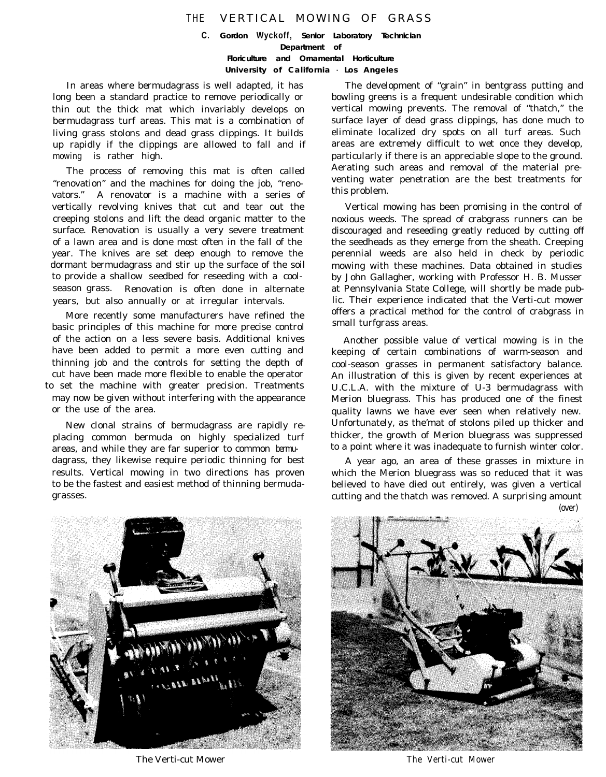### THE VERTICAL MOWING OF GRASS

**C.** *Gordon* **Wyckoff,** *Senior Laboratory Technician Department of Floriculture and Ornamental Horticulture University of California - Los Angeles*

In areas where bermudagrass is well adapted, it has long been a standard practice to remove periodically or thin out the thick mat which invariably develops on bermudagrass turf areas. This mat is a combination of living grass stolons and dead grass clippings. It builds up rapidly if the clippings are allowed to fall and if mowing is rather high.

The process of removing this mat is often called "renovation" and the machines for doing the job, "renovators." A renovator is a machine with a series of vertically revolving knives that cut and tear out the creeping stolons and lift the dead organic matter to the surface. Renovation is usually a very severe treatment of a lawn area and is done most often in the fall of the year. The knives are set deep enough to remove the dormant bermudagrass and stir up the surface of the soil to provide a shallow seedbed for reseeding with a coolseason grass. Renovation is often done in alternate years, but also annually or at irregular intervals.

More recently some manufacturers have refined the basic principles of this machine for more precise control of the action on a less severe basis. Additional knives have been added to permit a more even cutting and thinning job and the controls for setting the depth of cut have been made more flexible to enable the operator to set the machine with greater precision. Treatments may now be given without interfering with the appearance or the use of the area.

New clonal strains of bermudagrass are rapidly replacing common bermuda on highly specialized turf areas, and while they are far superior to common bermudagrass, they likewise require periodic thinning for best results. Vertical mowing in two directions has proven to be the fastest and easiest method of thinning bermudagrasses.

The development of "grain" in bentgrass putting and bowling greens is a frequent undesirable condition which vertical mowing prevents. The removal of "thatch," the surface layer of dead grass clippings, has done much to eliminate localized dry spots on all turf areas. Such areas are extremely difficult to wet once they develop, particularly if there is an appreciable slope to the ground. Aerating such areas and removal of the material preventing water penetration are the best treatments for this problem.

Vertical mowing has been promising in the control of noxious weeds. The spread of crabgrass runners can be discouraged and reseeding greatly reduced by cutting off the seedheads as they emerge from the sheath. Creeping perennial weeds are also held in check by periodic mowing with these machines. Data obtained in studies by John Gallagher, working with Professor H. B. Musser at Pennsylvania State College, will shortly be made public. Their experience indicated that the Verti-cut mower offers a practical method for the control of crabgrass in small turfgrass areas.

Another possible value of vertical mowing is in the keeping of certain combinations of warm-season and cool-season grasses in permanent satisfactory balance. An illustration of this is given by recent experiences at U.C.L.A. with the mixture of U-3 bermudagrass with Merion bluegrass. This has produced one of the finest quality lawns we have ever seen when relatively new. Unfortunately, as the'mat of stolons piled up thicker and thicker, the growth of Merion bluegrass was suppressed to a point where it was inadequate to furnish winter color.

A year ago, an area of these grasses in mixture in which the Merion bluegrass was so reduced that it was believed to have died out entirely, was given a vertical cutting and the thatch was removed. A surprising amount (over)



The Verti-cut Mower The Verti-cut Mower